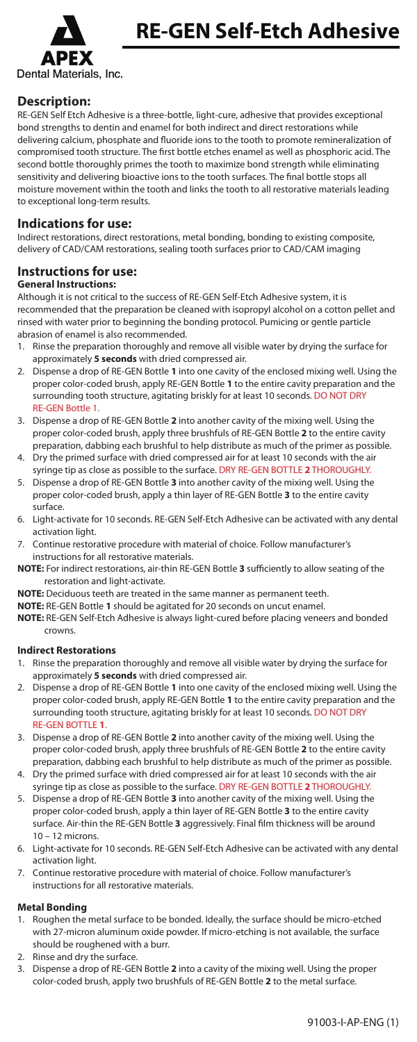

# **Description:**

RE-GEN Self Etch Adhesive is a three-bottle, light-cure, adhesive that provides exceptional bond strengths to dentin and enamel for both indirect and direct restorations while delivering calcium, phosphate and fluoride ions to the tooth to promote remineralization of compromised tooth structure. The first bottle etches enamel as well as phosphoric acid. The second bottle thoroughly primes the tooth to maximize bond strength while eliminating sensitivity and delivering bioactive ions to the tooth surfaces. The final bottle stops all moisture movement within the tooth and links the tooth to all restorative materials leading to exceptional long-term results.

## **Indications for use:**

Indirect restorations, direct restorations, metal bonding, bonding to existing composite, delivery of CAD/CAM restorations, sealing tooth surfaces prior to CAD/CAM imaging

# **Instructions for use:**

### **General Instructions:**

Although it is not critical to the success of RE-GEN Self-Etch Adhesive system, it is recommended that the preparation be cleaned with isopropyl alcohol on a cotton pellet and rinsed with water prior to beginning the bonding protocol. Pumicing or gentle particle abrasion of enamel is also recommended.

- Rinse the preparation thoroughly and remove all visible water by drying the surface for approximately **5 seconds** with dried compressed air.
- 2. Dispense a drop of RE-GEN Bottle **1** into one cavity of the enclosed mixing well. Using the proper color-coded brush, apply RE-GEN Bottle **1** to the entire cavity preparation and the surrounding tooth structure, agitating briskly for at least 10 seconds. DO NOT DRY RE-GEN Bottle 1.
- 3. Dispense a drop of RE-GEN Bottle **2** into another cavity of the mixing well. Using the proper color-coded brush, apply three brushfuls of RE-GEN Bottle **2** to the entire cavity preparation, dabbing each brushful to help distribute as much of the primer as possible.
- 4. Dry the primed surface with dried compressed air for at least 10 seconds with the air syringe tip as close as possible to the surface. DRY RE-GEN BOTTLE **2** THOROUGHLY.
- 5. Dispense a drop of RE-GEN Bottle **3** into another cavity of the mixing well. Using the proper color-coded brush, apply a thin layer of RE-GEN Bottle **3** to the entire cavity surface.
- 6. Light-activate for 10 seconds. RE-GEN Self-Etch Adhesive can be activated with any dental activation light.
- 7. Continue restorative procedure with material of choice. Follow manufacturer's instructions for all restorative materials.
- **NOTE:** For indirect restorations, air-thin RE-GEN Bottle 3 sufficiently to allow seating of the restoration and light-activate.

**NOTE:** Deciduous teeth are treated in the same manner as permanent teeth.

**NOTE:** RE-GEN Bottle **1** should be agitated for 20 seconds on uncut enamel.

**NOTE:** RE-GEN Self-Etch Adhesive is always light-cured before placing veneers and bonded crowns.

### **Indirect Restorations**

- 1. Rinse the preparation thoroughly and remove all visible water by drying the surface for approximately **5 seconds** with dried compressed air.
- 2. Dispense a drop of RE-GEN Bottle **1** into one cavity of the enclosed mixing well. Using the proper color-coded brush, apply RE-GEN Bottle **1** to the entire cavity preparation and the surrounding tooth structure, agitating briskly for at least 10 seconds. DO NOT DRY RE-GEN BOTTLE **1**.
- 3. Dispense a drop of RE-GEN Bottle **2** into another cavity of the mixing well. Using the proper color-coded brush, apply three brushfuls of RE-GEN Bottle **2** to the entire cavity preparation, dabbing each brushful to help distribute as much of the primer as possible.
- 4. Dry the primed surface with dried compressed air for at least 10 seconds with the air syringe tip as close as possible to the surface. DRY RE-GEN BOTTLE **2** THOROUGHLY.
- 5. Dispense a drop of RE-GEN Bottle **3** into another cavity of the mixing well. Using the proper color-coded brush, apply a thin layer of RE-GEN Bottle **3** to the entire cavity surface. Air-thin the RE-GEN Bottle 3 aggressively. Final film thickness will be around 10 – 12 microns.
- 6. Light-activate for 10 seconds. RE-GEN Self-Etch Adhesive can be activated with any dental activation light.
- 7. Continue restorative procedure with material of choice. Follow manufacturer's instructions for all restorative materials.

# **Metal Bonding**

- 1. Roughen the metal surface to be bonded. Ideally, the surface should be micro-etched with 27-micron aluminum oxide powder. If micro-etching is not available, the surface should be roughened with a burr.
- 2. Rinse and dry the surface.
- 3. Dispense a drop of RE-GEN Bottle **2** into a cavity of the mixing well. Using the proper color-coded brush, apply two brushfuls of RE-GEN Bottle **2** to the metal surface.